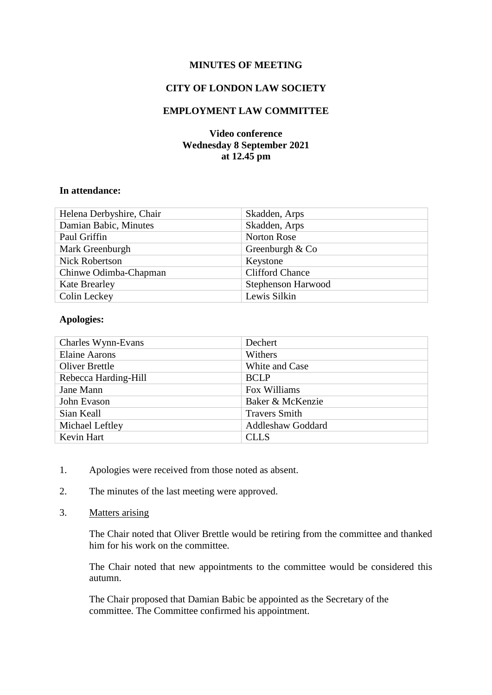# **MINUTES OF MEETING**

# **CITY OF LONDON LAW SOCIETY**

# **EMPLOYMENT LAW COMMITTEE**

# **Video conference Wednesday 8 September 2021 at 12.45 pm**

#### **In attendance:**

| Helena Derbyshire, Chair | Skadden, Arps          |
|--------------------------|------------------------|
| Damian Babic, Minutes    | Skadden, Arps          |
| Paul Griffin             | Norton Rose            |
| Mark Greenburgh          | Greenburgh $& Co$      |
| <b>Nick Robertson</b>    | Keystone               |
| Chinwe Odimba-Chapman    | <b>Clifford Chance</b> |
| <b>Kate Brearley</b>     | Stephenson Harwood     |
| Colin Leckey             | Lewis Silkin           |

#### **Apologies:**

| Charles Wynn-Evans    | Dechert                  |
|-----------------------|--------------------------|
| <b>Elaine Aarons</b>  | Withers                  |
| <b>Oliver Brettle</b> | White and Case           |
| Rebecca Harding-Hill  | <b>BCLP</b>              |
| Jane Mann             | Fox Williams             |
| John Evason           | Baker & McKenzie         |
| Sian Keall            | <b>Travers Smith</b>     |
| Michael Leftley       | <b>Addleshaw Goddard</b> |
| Kevin Hart            | <b>CLLS</b>              |

- 1. Apologies were received from those noted as absent.
- 2. The minutes of the last meeting were approved.
- 3. Matters arising

The Chair noted that Oliver Brettle would be retiring from the committee and thanked him for his work on the committee.

The Chair noted that new appointments to the committee would be considered this autumn.

The Chair proposed that Damian Babic be appointed as the Secretary of the committee. The Committee confirmed his appointment.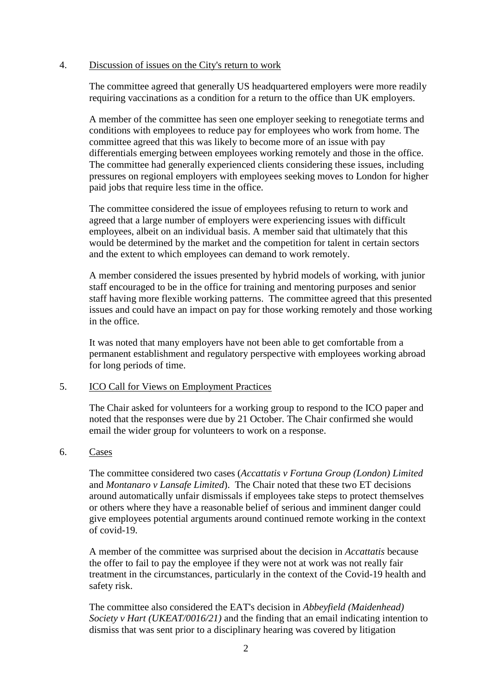#### 4. Discussion of issues on the City's return to work

The committee agreed that generally US headquartered employers were more readily requiring vaccinations as a condition for a return to the office than UK employers.

A member of the committee has seen one employer seeking to renegotiate terms and conditions with employees to reduce pay for employees who work from home. The committee agreed that this was likely to become more of an issue with pay differentials emerging between employees working remotely and those in the office. The committee had generally experienced clients considering these issues, including pressures on regional employers with employees seeking moves to London for higher paid jobs that require less time in the office.

The committee considered the issue of employees refusing to return to work and agreed that a large number of employers were experiencing issues with difficult employees, albeit on an individual basis. A member said that ultimately that this would be determined by the market and the competition for talent in certain sectors and the extent to which employees can demand to work remotely.

A member considered the issues presented by hybrid models of working, with junior staff encouraged to be in the office for training and mentoring purposes and senior staff having more flexible working patterns. The committee agreed that this presented issues and could have an impact on pay for those working remotely and those working in the office.

It was noted that many employers have not been able to get comfortable from a permanent establishment and regulatory perspective with employees working abroad for long periods of time.

### 5. ICO Call for Views on Employment Practices

The Chair asked for volunteers for a working group to respond to the ICO paper and noted that the responses were due by 21 October. The Chair confirmed she would email the wider group for volunteers to work on a response.

### 6. Cases

The committee considered two cases (*Accattatis v Fortuna Group (London) Limited*  and *Montanaro v Lansafe Limited*). The Chair noted that these two ET decisions around automatically unfair dismissals if employees take steps to protect themselves or others where they have a reasonable belief of serious and imminent danger could give employees potential arguments around continued remote working in the context of covid-19.

A member of the committee was surprised about the decision in *Accattatis* because the offer to fail to pay the employee if they were not at work was not really fair treatment in the circumstances, particularly in the context of the Covid-19 health and safety risk.

The committee also considered the EAT's decision in *Abbeyfield (Maidenhead) Society v Hart (UKEAT/0016/21)* and the finding that an email indicating intention to dismiss that was sent prior to a disciplinary hearing was covered by litigation